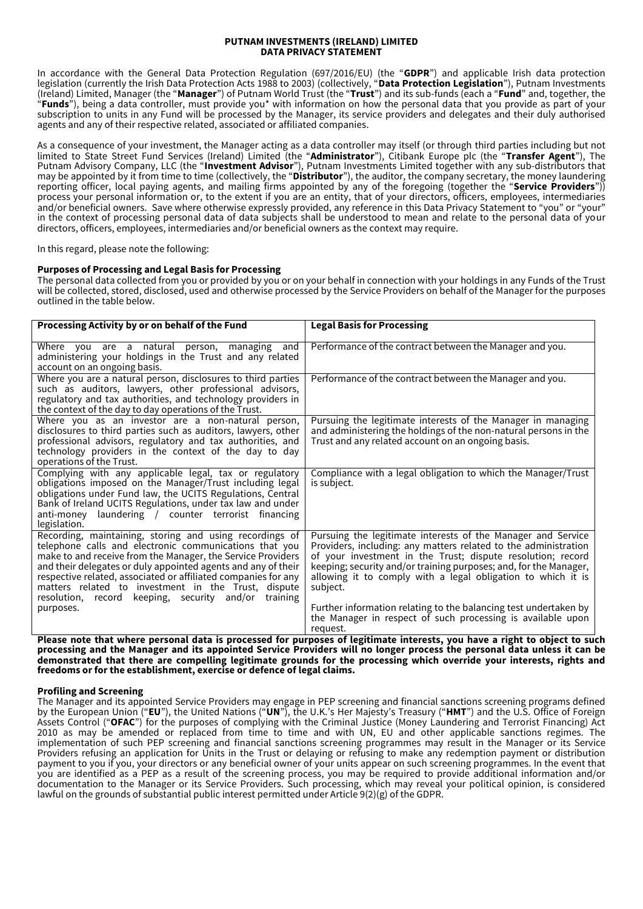### **PUTNAM INVESTMENTS (IRELAND) LIMITED DATA PRIVACY STATEMENT**

In accordance with the General Data Protection Regulation (697/2016/EU) (the "**GDPR**") and applicable Irish data protection legislation (currently the Irish Data Protection Acts 1988 to 2003) (collectively, "**Data Protection Legislation**"), Putnam Investments (Ireland) Limited, Manager (the "**Manager**") of Putnam World Trust (the "**Trust**") and its sub-funds (each a "**Fund**" and, together, the "**Funds**"), being a data controller, must provide you\* with information on how the personal data that you provide as part of your subscription to units in any Fund will be processed by the Manager, its service providers and delegates and their duly authorised agents and any of their respective related, associated or affiliated companies.

As a consequence of your investment, the Manager acting as a data controller may itself (or through third parties including but not limited to State Street Fund Services (Ireland) Limited (the "**Administrator**"), Citibank Europe plc (the "**Transfer Agent**"), The Putnam Advisory Company, LLC (the "**Investment Advisor**"), Putnam Investments Limited together with any sub-distributors that may be appointed by it from time to time (collectively, the "**Distributor**"), the auditor, the company secretary, the money laundering reporting officer, local paying agents, and mailing firms appointed by any of the foregoing (together the "**Service Providers**")) process your personal information or, to the extent if you are an entity, that of your directors, officers, employees, intermediaries and/or beneficial owners. Save where otherwise expressly provided, any reference in this Data Privacy Statement to "you" or "your" in the context of processing personal data of data subjects shall be understood to mean and relate to the personal data of your directors, officers, employees, intermediaries and/or beneficial owners as the context may require.

In this regard, please note the following:

# **Purposes of Processing and Legal Basis for Processing**

The personal data collected from you or provided by you or on your behalf in connection with your holdings in any Funds of the Trust will be collected, stored, disclosed, used and otherwise processed by the Service Providers on behalf of the Manager for the purposes outlined in the table below.

| Processing Activity by or on behalf of the Fund                                                                                                                                                                                                                                                                                                                                                                                       | <b>Legal Basis for Processing</b>                                                                                                                                                                                                                                                                                                               |
|---------------------------------------------------------------------------------------------------------------------------------------------------------------------------------------------------------------------------------------------------------------------------------------------------------------------------------------------------------------------------------------------------------------------------------------|-------------------------------------------------------------------------------------------------------------------------------------------------------------------------------------------------------------------------------------------------------------------------------------------------------------------------------------------------|
| Where you are a natural person,<br>managing<br>and<br>administering your holdings in the Trust and any related                                                                                                                                                                                                                                                                                                                        | Performance of the contract between the Manager and you.                                                                                                                                                                                                                                                                                        |
| account on an ongoing basis.<br>Where you are a natural person, disclosures to third parties<br>such as auditors, lawyers, other professional advisors,<br>regulatory and tax authorities, and technology providers in<br>the context of the day to day operations of the Trust.                                                                                                                                                      | Performance of the contract between the Manager and you.                                                                                                                                                                                                                                                                                        |
| Where you as an investor are a non-natural person,<br>disclosures to third parties such as auditors, lawyers, other<br>professional advisors, regulatory and tax authorities, and<br>technology providers in the context of the day to day<br>operations of the Trust.                                                                                                                                                                | Pursuing the legitimate interests of the Manager in managing<br>and administering the holdings of the non-natural persons in the<br>Trust and any related account on an ongoing basis.                                                                                                                                                          |
| Complying with any applicable legal, tax or regulatory<br>obligations imposed on the Manager/Trust including legal<br>obligations under Fund law, the UCITS Regulations, Central<br>Bank of Ireland UCITS Regulations, under tax law and under<br>anti-money laundering / counter terrorist financing<br>legislation.                                                                                                                 | Compliance with a legal obligation to which the Manager/Trust<br>is subject.                                                                                                                                                                                                                                                                    |
| Recording, maintaining, storing and using recordings of<br>telephone calls and electronic communications that you<br>make to and receive from the Manager, the Service Providers<br>and their delegates or duly appointed agents and any of their<br>respective related, associated or affiliated companies for any<br>matters related to investment in the Trust, dispute<br>resolution, record keeping, security and/or<br>training | Pursuing the legitimate interests of the Manager and Service<br>Providers, including: any matters related to the administration<br>of your investment in the Trust; dispute resolution; record<br>keeping; security and/or training purposes; and, for the Manager,<br>allowing it to comply with a legal obligation to which it is<br>subject. |
| purposes.                                                                                                                                                                                                                                                                                                                                                                                                                             | Further information relating to the balancing test undertaken by<br>the Manager in respect of such processing is available upon<br>request.                                                                                                                                                                                                     |

**Please note that where personal data is processed for purposes of legitimate interests, you have a right to object to such processing and the Manager and its appointed Service Providers will no longer process the personal data unless it can be demonstrated that there are compelling legitimate grounds for the processing which override your interests, rights and freedoms or for the establishment, exercise or defence of legal claims.**

# **Profiling and Screening**

The Manager and its appointed Service Providers may engage in PEP screening and financial sanctions screening programs defined by the European Union ("**EU**"), the United Nations ("**UN**"), the U.K.'s Her Majesty's Treasury ("**HMT**") and the U.S. Office of Foreign Assets Control ("**OFAC**") for the purposes of complying with the Criminal Justice (Money Laundering and Terrorist Financing) Act 2010 as may be amended or replaced from time to time and with UN, EU and other applicable sanctions regimes. The implementation of such PEP screening and financial sanctions screening programmes may result in the Manager or its Service Providers refusing an application for Units in the Trust or delaying or refusing to make any redemption payment or distribution payment to you if you, your directors or any beneficial owner of your units appear on such screening programmes. In the event that you are identified as a PEP as a result of the screening process, you may be required to provide additional information and/or documentation to the Manager or its Service Providers. Such processing, which may reveal your political opinion, is considered lawful on the grounds of substantial public interest permitted under Article 9(2)(g) of the GDPR.